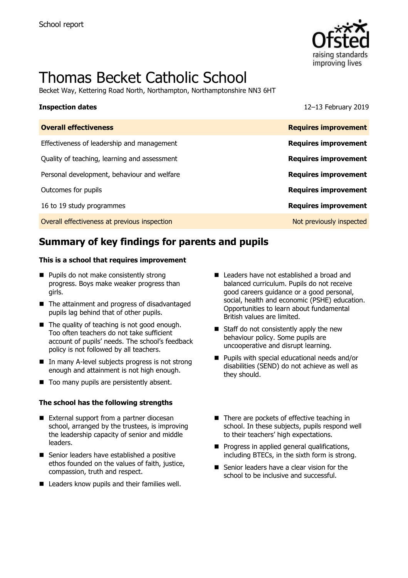

# Thomas Becket Catholic School

Becket Way, Kettering Road North, Northampton, Northamptonshire NN3 6HT

**Inspection dates** 12–13 February 2019

| <b>Overall effectiveness</b>                 | <b>Requires improvement</b> |
|----------------------------------------------|-----------------------------|
| Effectiveness of leadership and management   | <b>Requires improvement</b> |
| Quality of teaching, learning and assessment | <b>Requires improvement</b> |
| Personal development, behaviour and welfare  | <b>Requires improvement</b> |
| Outcomes for pupils                          | <b>Requires improvement</b> |
| 16 to 19 study programmes                    | <b>Requires improvement</b> |
| Overall effectiveness at previous inspection | Not previously inspected    |
|                                              |                             |

# **Summary of key findings for parents and pupils**

### **This is a school that requires improvement**

- **Pupils do not make consistently strong** progress. Boys make weaker progress than girls.
- The attainment and progress of disadvantaged pupils lag behind that of other pupils.
- The quality of teaching is not good enough. Too often teachers do not take sufficient account of pupils' needs. The school's feedback policy is not followed by all teachers.
- In many A-level subjects progress is not strong enough and attainment is not high enough.
- Too many pupils are persistently absent.

### **The school has the following strengths**

- External support from a partner diocesan school, arranged by the trustees, is improving the leadership capacity of senior and middle leaders.
- Senior leaders have established a positive ethos founded on the values of faith, justice, compassion, truth and respect.
- Leaders know pupils and their families well.
- Leaders have not established a broad and balanced curriculum. Pupils do not receive good careers guidance or a good personal, social, health and economic (PSHE) education. Opportunities to learn about fundamental British values are limited.
- Staff do not consistently apply the new behaviour policy. Some pupils are uncooperative and disrupt learning.
- **Pupils with special educational needs and/or** disabilities (SEND) do not achieve as well as they should.
- There are pockets of effective teaching in school. In these subjects, pupils respond well to their teachers' high expectations.
- $\blacksquare$  Progress in applied general qualifications, including BTECs, in the sixth form is strong.
- Senior leaders have a clear vision for the school to be inclusive and successful.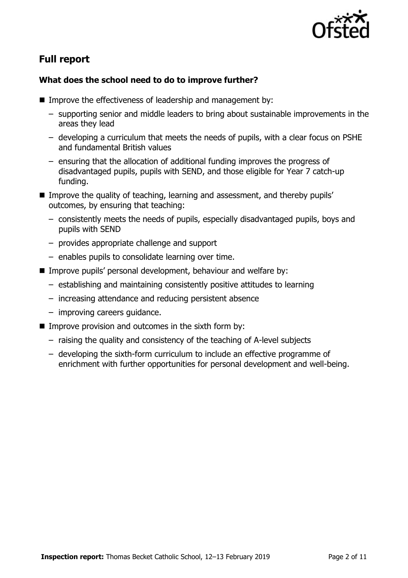

# **Full report**

### **What does the school need to do to improve further?**

- Improve the effectiveness of leadership and management by:
	- supporting senior and middle leaders to bring about sustainable improvements in the areas they lead
	- developing a curriculum that meets the needs of pupils, with a clear focus on PSHE and fundamental British values
	- ensuring that the allocation of additional funding improves the progress of disadvantaged pupils, pupils with SEND, and those eligible for Year 7 catch-up funding.
- **IMPROVE the quality of teaching, learning and assessment, and thereby pupils'** outcomes, by ensuring that teaching:
	- consistently meets the needs of pupils, especially disadvantaged pupils, boys and pupils with SEND
	- provides appropriate challenge and support
	- enables pupils to consolidate learning over time.
- Improve pupils' personal development, behaviour and welfare by:
	- establishing and maintaining consistently positive attitudes to learning
	- increasing attendance and reducing persistent absence
	- improving careers guidance.
- $\blacksquare$  Improve provision and outcomes in the sixth form by:
	- raising the quality and consistency of the teaching of A-level subjects
	- developing the sixth-form curriculum to include an effective programme of enrichment with further opportunities for personal development and well-being.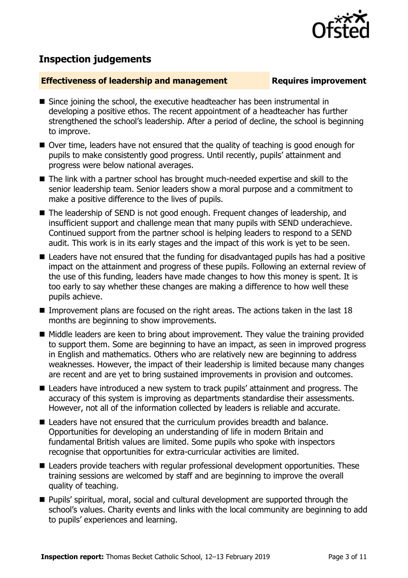

# **Inspection judgements**

### **Effectiveness of leadership and management Requires improvement**

- Since joining the school, the executive headteacher has been instrumental in developing a positive ethos. The recent appointment of a headteacher has further strengthened the school's leadership. After a period of decline, the school is beginning to improve.
- Over time, leaders have not ensured that the quality of teaching is good enough for pupils to make consistently good progress. Until recently, pupils' attainment and progress were below national averages.
- The link with a partner school has brought much-needed expertise and skill to the senior leadership team. Senior leaders show a moral purpose and a commitment to make a positive difference to the lives of pupils.
- The leadership of SEND is not good enough. Frequent changes of leadership, and insufficient support and challenge mean that many pupils with SEND underachieve. Continued support from the partner school is helping leaders to respond to a SEND audit. This work is in its early stages and the impact of this work is yet to be seen.
- Leaders have not ensured that the funding for disadvantaged pupils has had a positive impact on the attainment and progress of these pupils. Following an external review of the use of this funding, leaders have made changes to how this money is spent. It is too early to say whether these changes are making a difference to how well these pupils achieve.
- Improvement plans are focused on the right areas. The actions taken in the last  $18$ months are beginning to show improvements.
- Middle leaders are keen to bring about improvement. They value the training provided to support them. Some are beginning to have an impact, as seen in improved progress in English and mathematics. Others who are relatively new are beginning to address weaknesses. However, the impact of their leadership is limited because many changes are recent and are yet to bring sustained improvements in provision and outcomes.
- Leaders have introduced a new system to track pupils' attainment and progress. The accuracy of this system is improving as departments standardise their assessments. However, not all of the information collected by leaders is reliable and accurate.
- Leaders have not ensured that the curriculum provides breadth and balance. Opportunities for developing an understanding of life in modern Britain and fundamental British values are limited. Some pupils who spoke with inspectors recognise that opportunities for extra-curricular activities are limited.
- Leaders provide teachers with regular professional development opportunities. These training sessions are welcomed by staff and are beginning to improve the overall quality of teaching.
- **Pupils' spiritual, moral, social and cultural development are supported through the** school's values. Charity events and links with the local community are beginning to add to pupils' experiences and learning.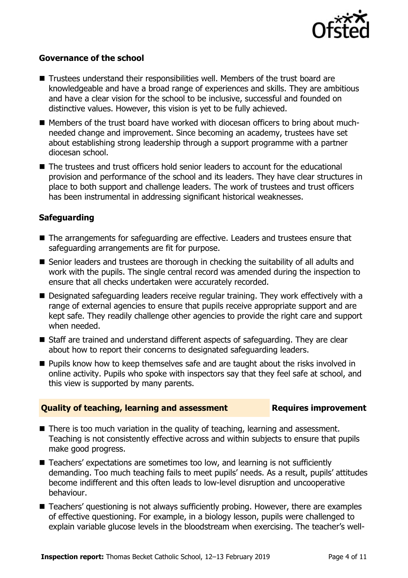

### **Governance of the school**

- Trustees understand their responsibilities well. Members of the trust board are knowledgeable and have a broad range of experiences and skills. They are ambitious and have a clear vision for the school to be inclusive, successful and founded on distinctive values. However, this vision is yet to be fully achieved.
- Members of the trust board have worked with diocesan officers to bring about muchneeded change and improvement. Since becoming an academy, trustees have set about establishing strong leadership through a support programme with a partner diocesan school.
- The trustees and trust officers hold senior leaders to account for the educational provision and performance of the school and its leaders. They have clear structures in place to both support and challenge leaders. The work of trustees and trust officers has been instrumental in addressing significant historical weaknesses.

### **Safeguarding**

- The arrangements for safeguarding are effective. Leaders and trustees ensure that safeguarding arrangements are fit for purpose.
- Senior leaders and trustees are thorough in checking the suitability of all adults and work with the pupils. The single central record was amended during the inspection to ensure that all checks undertaken were accurately recorded.
- Designated safeguarding leaders receive regular training. They work effectively with a range of external agencies to ensure that pupils receive appropriate support and are kept safe. They readily challenge other agencies to provide the right care and support when needed.
- Staff are trained and understand different aspects of safeguarding. They are clear about how to report their concerns to designated safeguarding leaders.
- **Pupils know how to keep themselves safe and are taught about the risks involved in** online activity. Pupils who spoke with inspectors say that they feel safe at school, and this view is supported by many parents.

### **Quality of teaching, learning and assessment Requires improvement**

- There is too much variation in the quality of teaching, learning and assessment. Teaching is not consistently effective across and within subjects to ensure that pupils make good progress.
- Teachers' expectations are sometimes too low, and learning is not sufficiently demanding. Too much teaching fails to meet pupils' needs. As a result, pupils' attitudes become indifferent and this often leads to low-level disruption and uncooperative behaviour.
- Teachers' questioning is not always sufficiently probing. However, there are examples of effective questioning. For example, in a biology lesson, pupils were challenged to explain variable glucose levels in the bloodstream when exercising. The teacher's well-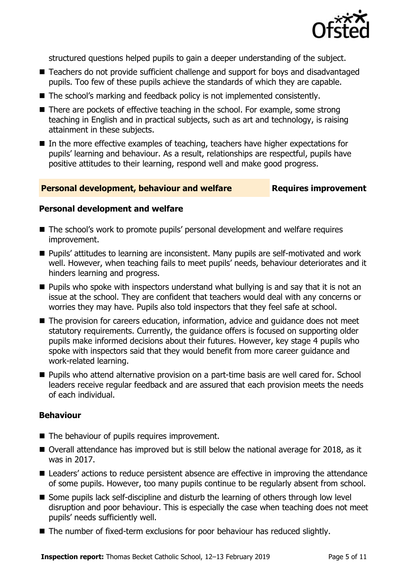

structured questions helped pupils to gain a deeper understanding of the subject.

- Teachers do not provide sufficient challenge and support for boys and disadvantaged pupils. Too few of these pupils achieve the standards of which they are capable.
- The school's marking and feedback policy is not implemented consistently.
- There are pockets of effective teaching in the school. For example, some strong teaching in English and in practical subjects, such as art and technology, is raising attainment in these subjects.
- In the more effective examples of teaching, teachers have higher expectations for pupils' learning and behaviour. As a result, relationships are respectful, pupils have positive attitudes to their learning, respond well and make good progress.

### **Personal development, behaviour and welfare <b>Requires improvement**

### **Personal development and welfare**

- The school's work to promote pupils' personal development and welfare requires improvement.
- **Pupils'** attitudes to learning are inconsistent. Many pupils are self-motivated and work well. However, when teaching fails to meet pupils' needs, behaviour deteriorates and it hinders learning and progress.
- **Pupils who spoke with inspectors understand what bullying is and say that it is not an** issue at the school. They are confident that teachers would deal with any concerns or worries they may have. Pupils also told inspectors that they feel safe at school.
- The provision for careers education, information, advice and quidance does not meet statutory requirements. Currently, the guidance offers is focused on supporting older pupils make informed decisions about their futures. However, key stage 4 pupils who spoke with inspectors said that they would benefit from more career guidance and work-related learning.
- Pupils who attend alternative provision on a part-time basis are well cared for. School leaders receive regular feedback and are assured that each provision meets the needs of each individual.

### **Behaviour**

- The behaviour of pupils requires improvement.
- Overall attendance has improved but is still below the national average for 2018, as it was in 2017.
- Leaders' actions to reduce persistent absence are effective in improving the attendance of some pupils. However, too many pupils continue to be regularly absent from school.
- Some pupils lack self-discipline and disturb the learning of others through low level disruption and poor behaviour. This is especially the case when teaching does not meet pupils' needs sufficiently well.
- The number of fixed-term exclusions for poor behaviour has reduced slightly.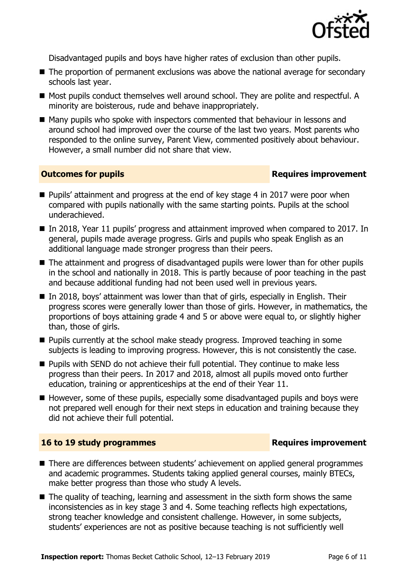

Disadvantaged pupils and boys have higher rates of exclusion than other pupils.

- The proportion of permanent exclusions was above the national average for secondary schools last year.
- Most pupils conduct themselves well around school. They are polite and respectful. A minority are boisterous, rude and behave inappropriately.
- Many pupils who spoke with inspectors commented that behaviour in lessons and around school had improved over the course of the last two years. Most parents who responded to the online survey, Parent View, commented positively about behaviour. However, a small number did not share that view.

### **Outcomes for pupils Requires improvement**

- Pupils' attainment and progress at the end of key stage 4 in 2017 were poor when compared with pupils nationally with the same starting points. Pupils at the school underachieved.
- In 2018, Year 11 pupils' progress and attainment improved when compared to 2017. In general, pupils made average progress. Girls and pupils who speak English as an additional language made stronger progress than their peers.
- The attainment and progress of disadvantaged pupils were lower than for other pupils in the school and nationally in 2018. This is partly because of poor teaching in the past and because additional funding had not been used well in previous years.
- In 2018, boys' attainment was lower than that of girls, especially in English. Their progress scores were generally lower than those of girls. However, in mathematics, the proportions of boys attaining grade 4 and 5 or above were equal to, or slightly higher than, those of girls.
- **Pupils currently at the school make steady progress. Improved teaching in some** subjects is leading to improving progress. However, this is not consistently the case.
- **Pupils with SEND do not achieve their full potential. They continue to make less** progress than their peers. In 2017 and 2018, almost all pupils moved onto further education, training or apprenticeships at the end of their Year 11.
- $\blacksquare$  However, some of these pupils, especially some disadvantaged pupils and boys were not prepared well enough for their next steps in education and training because they did not achieve their full potential.

### **16 to 19 study programmes Requires improvement**

- There are differences between students' achievement on applied general programmes and academic programmes. Students taking applied general courses, mainly BTECs, make better progress than those who study A levels.
- The quality of teaching, learning and assessment in the sixth form shows the same inconsistencies as in key stage 3 and 4. Some teaching reflects high expectations, strong teacher knowledge and consistent challenge. However, in some subjects, students' experiences are not as positive because teaching is not sufficiently well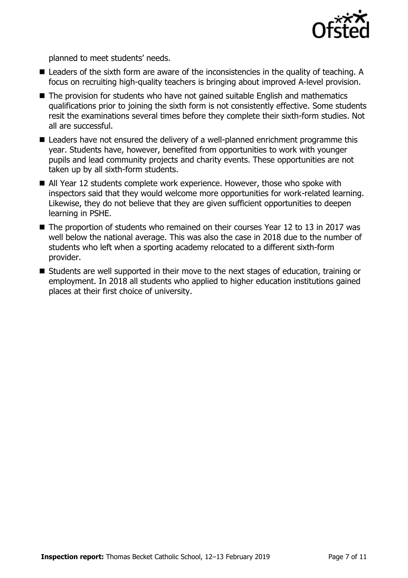

planned to meet students' needs.

- Leaders of the sixth form are aware of the inconsistencies in the quality of teaching. A focus on recruiting high-quality teachers is bringing about improved A-level provision.
- The provision for students who have not gained suitable English and mathematics qualifications prior to joining the sixth form is not consistently effective. Some students resit the examinations several times before they complete their sixth-form studies. Not all are successful.
- Leaders have not ensured the delivery of a well-planned enrichment programme this year. Students have, however, benefited from opportunities to work with younger pupils and lead community projects and charity events. These opportunities are not taken up by all sixth-form students.
- All Year 12 students complete work experience. However, those who spoke with inspectors said that they would welcome more opportunities for work-related learning. Likewise, they do not believe that they are given sufficient opportunities to deepen learning in PSHE.
- The proportion of students who remained on their courses Year 12 to 13 in 2017 was well below the national average. This was also the case in 2018 due to the number of students who left when a sporting academy relocated to a different sixth-form provider.
- Students are well supported in their move to the next stages of education, training or employment. In 2018 all students who applied to higher education institutions gained places at their first choice of university.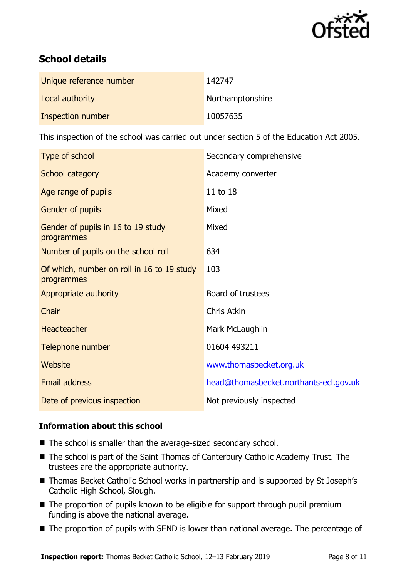

# **School details**

| Unique reference number | 142747           |
|-------------------------|------------------|
| Local authority         | Northamptonshire |
| Inspection number       | 10057635         |

This inspection of the school was carried out under section 5 of the Education Act 2005.

| Type of school                                           | Secondary comprehensive                |
|----------------------------------------------------------|----------------------------------------|
| School category                                          | Academy converter                      |
| Age range of pupils                                      | 11 to 18                               |
| Gender of pupils                                         | Mixed                                  |
| Gender of pupils in 16 to 19 study<br>programmes         | Mixed                                  |
| Number of pupils on the school roll                      | 634                                    |
| Of which, number on roll in 16 to 19 study<br>programmes | 103                                    |
| Appropriate authority                                    | Board of trustees                      |
| Chair                                                    | Chris Atkin                            |
| <b>Headteacher</b>                                       | Mark McLaughlin                        |
| Telephone number                                         | 01604 493211                           |
| Website                                                  | www.thomasbecket.org.uk                |
| Email address                                            | head@thomasbecket.northants-ecl.gov.uk |
| Date of previous inspection                              | Not previously inspected               |

### **Information about this school**

- The school is smaller than the average-sized secondary school.
- The school is part of the Saint Thomas of Canterbury Catholic Academy Trust. The trustees are the appropriate authority.
- Thomas Becket Catholic School works in partnership and is supported by St Joseph's Catholic High School, Slough.
- The proportion of pupils known to be eligible for support through pupil premium funding is above the national average.
- The proportion of pupils with SEND is lower than national average. The percentage of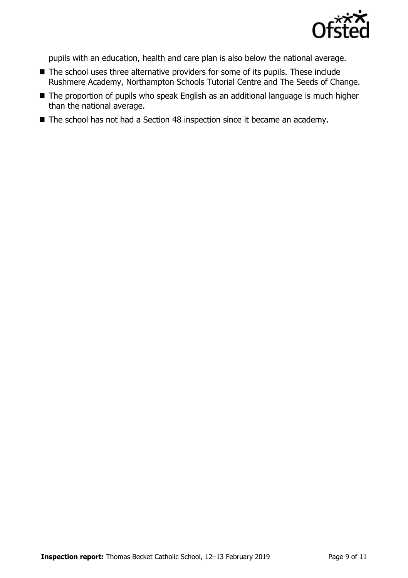

pupils with an education, health and care plan is also below the national average.

- The school uses three alternative providers for some of its pupils. These include Rushmere Academy, Northampton Schools Tutorial Centre and The Seeds of Change.
- The proportion of pupils who speak English as an additional language is much higher than the national average.
- The school has not had a Section 48 inspection since it became an academy.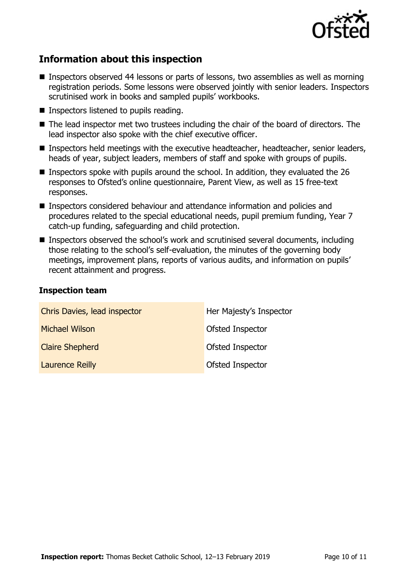

# **Information about this inspection**

- Inspectors observed 44 lessons or parts of lessons, two assemblies as well as morning registration periods. Some lessons were observed jointly with senior leaders. Inspectors scrutinised work in books and sampled pupils' workbooks.
- Inspectors listened to pupils reading.
- The lead inspector met two trustees including the chair of the board of directors. The lead inspector also spoke with the chief executive officer.
- Inspectors held meetings with the executive headteacher, headteacher, senior leaders, heads of year, subject leaders, members of staff and spoke with groups of pupils.
- Inspectors spoke with pupils around the school. In addition, they evaluated the 26 responses to Ofsted's online questionnaire, Parent View, as well as 15 free-text responses.
- Inspectors considered behaviour and attendance information and policies and procedures related to the special educational needs, pupil premium funding, Year 7 catch-up funding, safeguarding and child protection.
- Inspectors observed the school's work and scrutinised several documents, including those relating to the school's self-evaluation, the minutes of the governing body meetings, improvement plans, reports of various audits, and information on pupils' recent attainment and progress.

### **Inspection team**

| Chris Davies, lead inspector | Her Majesty's Inspector |
|------------------------------|-------------------------|
| <b>Michael Wilson</b>        | Ofsted Inspector        |
| <b>Claire Shepherd</b>       | Ofsted Inspector        |
| <b>Laurence Reilly</b>       | Ofsted Inspector        |